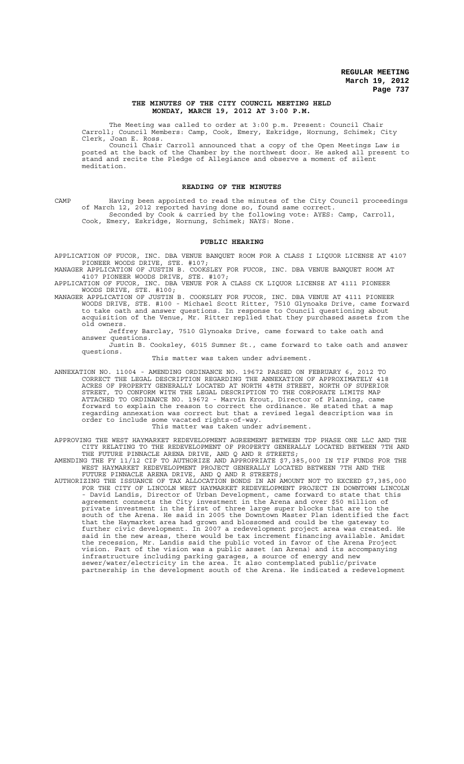### **THE MINUTES OF THE CITY COUNCIL MEETING HELD MONDAY, MARCH 19, 2012 AT 3:00 P.M.**

The Meeting was called to order at 3:00 p.m. Present: Council Chair Carroll; Council Members: Camp, Cook, Emery, Eskridge, Hornung, Schimek; City Clerk, Joan E. Ross.

Council Chair Carroll announced that a copy of the Open Meetings Law is posted at the back of the Chamber by the northwest door. He asked all present to stand and recite the Pledge of Allegiance and observe a moment of silent meditation.

### **READING OF THE MINUTES**

CAMP Having been appointed to read the minutes of the City Council proceedings<br>of March 12, 2012 reported having done so, found same correct. of March 12, 2012 reported having done so, found same correct. Seconded by Cook & carried by the following vote: AYES: Camp, Carroll, Cook, Emery, Eskridge, Hornung, Schimek; NAYS: None.

### **PUBLIC HEARING**

APPLICATION OF FUCOR, INC. DBA VENUE BANQUET ROOM FOR A CLASS I LIQUOR LICENSE AT 4107 PIONEER WOODS DRIVE, STE. #107;

MANAGER APPLICATION OF JUSTIN B. COOKSLEY FOR FUCOR, INC. DBA VENUE BANQUET ROOM AT 4107 PIONEER WOODS DRIVE, STE. #107;

APPLICATION OF FUCOR, INC. DBA VENUE FOR A CLASS CK LIQUOR LICENSE AT 4111 PIONEER WOODS DRIVE, STE. #100;

MANAGER APPLICATION OF JUSTIN B. COOKSLEY FOR FUCOR, INC. DBA VENUE AT 4111 PIONEER WOODS DRIVE, STE. #100 - Michael Scott Ritter, 7510 Glynoaks Drive, came forward to take oath and answer questions. In response to Council questioning about acquisition of the Venue, Mr. Ritter replied that they purchased assets from the old owners.

Jeffrey Barclay, 7510 Glynoaks Drive, came forward to take oath and answer questions.

Justin B. Cooksley, 6015 Sumner St., came forward to take oath and answer questions.

This matter was taken under advisement.

ANNEXATION NO. 11004 - AMENDING ORDINANCE NO. 19672 PASSED ON FEBRUARY 6, 2012 TO CORRECT THE LEGAL DESCRIPTION REGARDING THE ANNEXATION OF APPROXIMATELY 418 ACRES OF PROPERTY GENERALLY LOCATED AT NORTH 48TH STREET, NORTH OF SUPERIOR STREET, TO CONFORM WITH THE LEGAL DESCRIPTION TO THE CORPORATE LIMITS MAP ATTACHED TO ORDINANCE NO. 19672 - Marvin Krout, Director of Planning, came forward to explain the reason to correct the ordinance. He stated that a map regarding annexation was correct but that a revised legal description was in order to include some vacated rights-of-way.

#### This matter was taken under advisement.

APPROVING THE WEST HAYMARKET REDEVELOPMENT AGREEMENT BETWEEN TDP PHASE ONE LLC AND THE CITY RELATING TO THE REDEVELOPMENT OF PROPERTY GENERALLY LOCATED BETWEEN 7TH AND THE FUTURE PINNACLE ARENA DRIVE, AND Q AND R STREETS;

AMENDING THE FY 11/12 CIP TO AUTHORIZE AND APPROPRIATE \$7,385,000 IN TIF FUNDS FOR THE WEST HAYMARKET REDEVELOPMENT PROJECT GENERALLY LOCATED BETWEEN 7TH AND THE FUTURE PINNACLE ARENA DRIVE, AND Q AND R STREETS;

AUTHORIZING THE ISSUANCE OF TAX ALLOCATION BONDS IN AN AMOUNT NOT TO EXCEED \$7,385,000 FOR THE CITY OF LINCOLN WEST HAYMARKET REDEVELOPMENT PROJECT IN DOWNTOWN LINCOLN - David Landis, Director of Urban Development, came forward to state that this agreement connects the City investment in the Arena and over \$50 million of private investment in the first of three large super blocks that are to the south of the Arena. He said in 2005 the Downtown Master Plan identified the fact that the Haymarket area had grown and blossomed and could be the gateway to further civic development. In 2007 a redevelopment project area was created. He said in the new areas, there would be tax increment financing available. Amidst the recession, Mr. Landis said the public voted in favor of the Arena Project vision. Part of the vision was a public asset (an Arena) and its accompanying infrastructure including parking garages, a source of energy and new sewer/water/electricity in the area. It also contemplated public/private partnership in the development south of the Arena. He indicated a redevelopment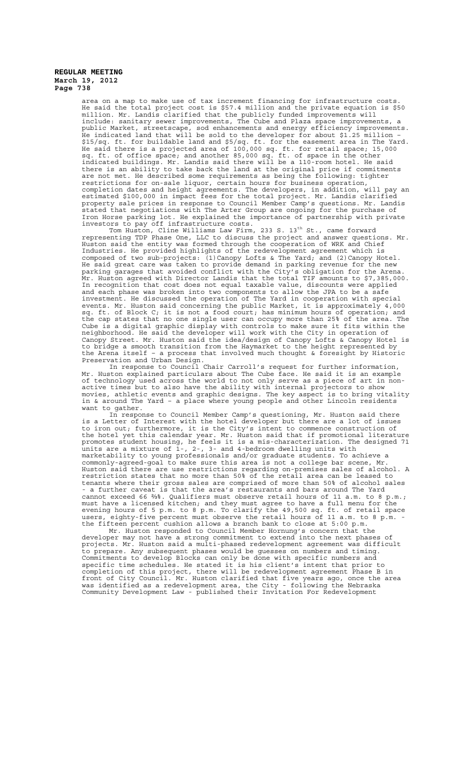> area on a map to make use of tax increment financing for infrastructure costs. He said the total project cost is \$57.4 million and the private equation is \$50 million. Mr. Landis clarified that the publicly funded improvements will include: sanitary sewer improvements, The Cube and Plaza space improvements, a public Market, streetscape, sod enhancements and energy efficiency improvements. He indicated land that will be sold to the developer for about \$1.25 million – \$15/sq. ft. for buildable land and \$5/sq. ft. for the easement area in The Yard. He said there is a projected area of 100,000 sq. ft. for retail space; 15,000 sq. ft. of office space; and another 85,000 sq. ft. of space in the other indicated buildings. Mr. Landis said there will be a 110-room hotel. He said there is an ability to take back the land at the original price if commitments are not met. He described some requirements as being the following: tighter restrictions for on-sale liquor, certain hours for business operation, completion dates and height agreements. The developers, in addition, will pay an estimated \$100,000 in impact fees for the total project. Mr. Landis clarified property sale prices in response to Council Member Camp's questions. Mr. Landis stated that negotiations with The Arter Group are ongoing for the purchase of Iron Horse parking lot. He explained the importance of partnership with private investors to pay off infrastructure costs.

> Tom Huston, Cline Williams Law Firm, 233 S. 13<sup>th</sup> St., came forward representing TDP Phase One, LLC to discuss the project and answer questions. Mr. Huston said the entity was formed through the cooperation of WRK and Chief Industries. He provided highlights of the redevelopment agreement which is composed of two sub-projects:  $(1)$  Canopy Lofts & The Yard; and  $(2)$  Canopy Hotel. He said great care was taken to provide demand in parking revenue for the new parking garages that avoided conflict with the City's obligation for the Arena. Mr. Huston agreed with Director Landis that the total TIF amounts to \$7,385,000. In recognition that cost does not equal taxable value, discounts were applied and each phase was broken into two components to allow the JPA to be a safe investment. He discussed the operation of The Yard in cooperation with special events. Mr. Huston said concerning the public Market, it is approximately 4,000 sq. ft. of Block C; it is not a food court; has minimum hours of operation; and the cap states that no one single user can occupy more than 25% of the area. The Cube is a digital graphic display with controls to make sure it fits within the neighborhood. He said the developer will work with the City in operation of Canopy Street. Mr. Huston said the idea/design of Canopy Lofts & Canopy Hotel is to bridge a smooth transition from the Haymarket to the height represented by the Arena itself – a process that involved much thought & foresight by Historic Preservation and Urban Design.

> In response to Council Chair Carroll's request for further information, Mr. Huston explained particulars about The Cube face. He said it is an example of technology used across the world to not only serve as a piece of art in nonactive times but to also have the ability with internal projectors to show movies, athletic events and graphic designs. The key aspect is to bring vitality in & around The Yard – a place where young people and other Lincoln residents want to gather.

> In response to Council Member Camp's questioning, Mr. Huston said there is a Letter of Interest with the hotel developer but there are a lot of issues to iron out; furthermore, it is the City's intent to commence construction of the hotel yet this calendar year. Mr. Huston said that if promotional literature promotes student housing, he feels it is a mis-characterization. The designed 71 units are a mixture of 1-, 2-, 3- and 4-bedroom dwelling units with marketability to young professionals and/or graduate students. To achieve a commonly-agreed-goal to make sure this area is not a college bar scene, Mr. Huston said there are use restrictions regarding on-premises sales of alcohol. A restriction states that no more than 50% of the retail area can be leased to tenants where their gross sales are comprised of more than 50% of alcohol sales - a further caveat is that the area's restaurants and bars around The Yard cannot exceed 66 %%. Qualifiers must observe retail hours of 11 a.m. to 8 p.m.; must have a licensed kitchen; and they must agree to have a full menu for the evening hours of 5 p.m. to 8 p.m. To clarify the 49,500 sq. ft. of retail space users, eighty-five percent must observe the retail hours of 11 a.m. to 8 p.m. the fifteen percent cushion allows a branch bank to close at 5:00 p.m.

Mr. Huston responded to Council Member Hornung's concern that the developer may not have a strong commitment to extend into the next phases of projects. Mr. Huston said a multi-phased redevelopment agreement was difficult to prepare. Any subsequent phases would be guesses on numbers and timing. Commitments to develop Blocks can only be done with specific numbers and specific time schedules. He stated it is his client's intent that prior to completion of this project, there will be redevelopment agreement Phase B in front of City Council. Mr. Huston clarified that five years ago, once the area was identified as a redevelopment area, the City - following the Nebraska Community Development Law - published their Invitation For Redevelopment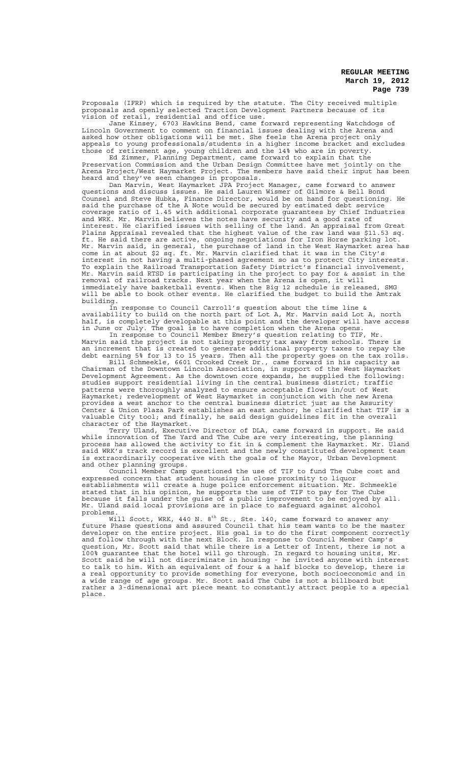Proposals (IFRP) which is required by the statute. The City received multiple proposals and openly selected Traction Development Partners because of its vision of retail, residential and office use.

Jane Kinsey, 6703 Hawkins Bend, came forward representing Watchdogs of Lincoln Government to comment on financial issues dealing with the Arena and asked how other obligations will be met. She feels the Arena project only appeals to young professionals/students in a higher income bracket and excludes those of retirement age, young children and the 14% who are in poverty.

Ed Zimmer, Planning Department, came forward to explain that the Preservation Commission and the Urban Design Committee have met jointly on the Arena Project/West Haymarket Project. The members have said their input has been heard and they've seen changes in proposals.

Dan Marvin, West Haymarket JPA Project Manager, came forward to answer questions and discuss issues. He said Lauren Wismer of Gilmore & Bell Bond Counsel and Steve Hubka, Finance Director, would be on hand for questioning. He said the purchase of the A Note would be secured by estimated debt service coverage ratio of 1.45 with additional corporate guarantees by Chief Industries and WRK. Mr. Marvin believes the notes have security and a good rate of interest. He clarified issues with selling of the land. An appraisal from Great Plains Appraisal revealed that the highest value of the raw land was \$11.53 sq. ft. He said there are active, ongoing negotiations for Iron Horse parking lot. Mr. Marvin said, in general, the purchase of land in the West Haymarket area has come in at about \$2 sq. ft. Mr. Marvin clarified that it was in the City's interest in not having a multi-phased agreement so as to protect City interests. To explain the Railroad Transportation Safety District's financial involvement, Mr. Marvin said RTSD is participating in the project to pay for & assist in the removal of railroad tracks. Next year when the Arena is open, it will immediately have basketball events. When the Big 12 schedule is released, SMG will be able to book other events. He clarified the budget to build the Amtrak building.

In response to Council Carroll's question about the time line & availability to build on the north part of Lot A, Mr. Marvin said Lot A, north half, is completely developable at this point and the developer will have access in June or July. The goal is to have completion when the Arena opens.

In response to Council Member Emery's question relating to TIF, Mr. Marvin said the project is not taking property tax away from schools. There is an increment that is created to generate additional property taxes to repay the debt earning 5% for 13 to 15 years. Then all the property goes on the tax rolls.

Bill Schmeekle, 6601 Crooked Creek Dr., came forward in his capacity as Chairman of the Downtown Lincoln Association, in support of the West Haymarket Development Agreement. As the downtown core expands, he supplied the following: studies support residential living in the central business district; traffic patterns were thoroughly analyzed to ensure acceptable flows in/out of West Haymarket; redevelopment of West Haymarket in conjunction with the new Arena provides a west anchor to the central business district just as the Assurity Center & Union Plaza Park establishes an east anchor; he clarified that TIF is a valuable City tool; and finally, he said design guidelines fit in the overall character of the Haymarket.

Terry Uland, Executive Director of DLA, came forward in support. He said while innovation of The Yard and The Cube are very interesting, the planning process has allowed the activity to fit in & complement the Haymarket. Mr. Uland said WRK's track record is excellent and the newly constituted development team is extraordinarily cooperative with the goals of the Mayor, Urban Development

and other planning groups.<br>Council Member Camp questioned the use of TIF to fund The Cube cost and Council Member Camp questioned the use of TIF to fund The Cube cost and expressed concern that student housing in close proximity to liquor establishments will create a huge police enforcement situation. Mr. Schmeekle stated that in his opinion, he supports the use of TIF to pay for The Cube because it falls under the guise of a public improvement to be enjoyed by all. Mr. Uland said local provisions are in place to safeguard against alcohol problems.

Will Scott, WRK, 440 N. 8 $^{\rm th}$  St., Ste. 140, came forward to answer any future Phase questions and assured Council that his team wants to be the master developer on the entire project. His goal is to do the first component correctly and follow through with the next Block. In response to Council Member Camp's question, Mr. Scott said that while there is a Letter of Intent, there is not a 100% guarantee that the hotel will go through. In regard to housing units, Mr. Scott said he will not discriminate in housing - he invited anyone with interest to talk to him. With an equivalent of four & a half blocks to develop, there is a real opportunity to provide something for everyone, both socioeconomic and in a wide range of age groups. Mr. Scott said The Cube is not a billboard but rather a 3-dimensional art piece meant to constantly attract people to a special place.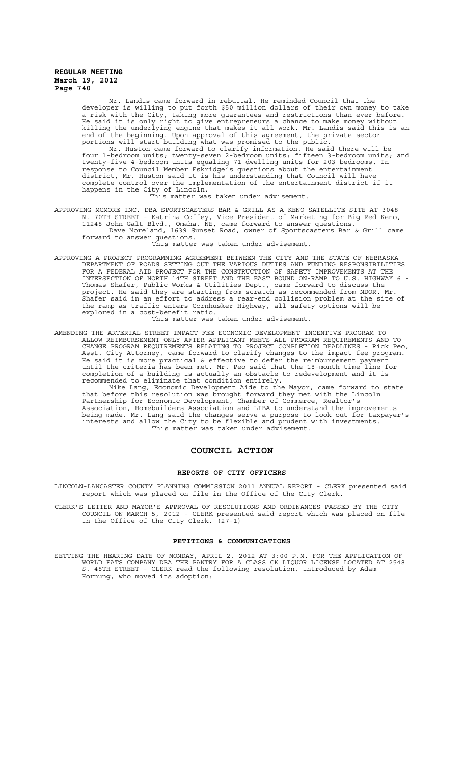Mr. Landis came forward in rebuttal. He reminded Council that the developer is willing to put forth \$50 million dollars of their own money to take a risk with the City, taking more guarantees and restrictions than ever before. He said it is only right to give entrepreneurs a chance to make money without killing the underlying engine that makes it all work. Mr. Landis said this is an end of the beginning. Upon approval of this agreement, the private sector portions will start building what was promised to the public.

Mr. Huston came forward to clarify information. He said there will be four 1-bedroom units; twenty-seven 2-bedroom units; fifteen 3-bedroom units; and twenty-five 4-bedroom units equaling 71 dwelling units for 203 bedrooms. In response to Council Member Eskridge's questions about the entertainment district, Mr. Huston said it is his understanding that Council will have complete control over the implementation of the entertainment district if it happens in the City of Lincoln.

This matter was taken under advisement.

APPROVING MCMORE INC. DBA SPORTSCASTERS BAR & GRILL AS A KENO SATELLITE SITE AT 3048 N. 70TH STREET - Katrina Coffey, Vice President of Marketing for Big Red Keno, 11248 John Galt Blvd., Omaha, NE, came forward to answer questions. Dave Moreland, 1639 Sunset Road, owner of Sportscasters Bar & Grill came forward to answer questions.

This matter was taken under advisement.

APPROVING A PROJECT PROGRAMMING AGREEMENT BETWEEN THE CITY AND THE STATE OF NEBRASKA DEPARTMENT OF ROADS SETTING OUT THE VARIOUS DUTIES AND FUNDING RESPONSIBILITIES FOR A FEDERAL AID PROJECT FOR THE CONSTRUCTION OF SAFETY IMPROVEMENTS AT THE INTERSECTION OF NORTH 14TH STREET AND THE EAST BOUND ON-RAMP TO U.S. HIGHWAY 6 - Thomas Shafer, Public Works & Utilities Dept., came forward to discuss the project. He said they are starting from scratch as recommended from NDOR. Mr. Shafer said in an effort to address a rear-end collision problem at the site of the ramp as traffic enters Cornhusker Highway, all safety options will be explored in a cost-benefit ratio. This matter was taken under advisement.

AMENDING THE ARTERIAL STREET IMPACT FEE ECONOMIC DEVELOPMENT INCENTIVE PROGRAM TO ALLOW REIMBURSEMENT ONLY AFTER APPLICANT MEETS ALL PROGRAM REQUIREMENTS AND TO CHANGE PROGRAM REQUIREMENTS RELATING TO PROJECT COMPLETION DEADLINES - Rick Peo, Asst. City Attorney, came forward to clarify changes to the impact fee program. He said it is more practical & effective to defer the reimbursement payment until the criteria has been met. Mr. Peo said that the 18-month time line for completion of a building is actually an obstacle to redevelopment and it is recommended to eliminate that condition entirely.

Mike Lang, Economic Development Aide to the Mayor, came forward to state that before this resolution was brought forward they met with the Lincoln Partnership for Economic Development, Chamber of Commerce, Realtor's Association, Homebuilders Association and LIBA to understand the improvements being made. Mr. Lang said the changes serve a purpose to look out for taxpayer's interests and allow the City to be flexible and prudent with investments. This matter was taken under advisement.

# **COUNCIL ACTION**

#### **REPORTS OF CITY OFFICERS**

LINCOLN-LANCASTER COUNTY PLANNING COMMISSION 2011 ANNUAL REPORT - CLERK presented said report which was placed on file in the Office of the City Clerk.

CLERK'S LETTER AND MAYOR'S APPROVAL OF RESOLUTIONS AND ORDINANCES PASSED BY THE CITY COUNCIL ON MARCH 5, 2012 - CLERK presented said report which was placed on file in the Office of the City Clerk. (27-1)

#### **PETITIONS & COMMUNICATIONS**

SETTING THE HEARING DATE OF MONDAY, APRIL 2, 2012 AT 3:00 P.M. FOR THE APPLICATION OF WORLD EATS COMPANY DBA THE PANTRY FOR A CLASS CK LIQUOR LICENSE LOCATED AT 2548 S. 48TH STREET - CLERK read the following resolution, introduced by Adam Hornung, who moved its adoption: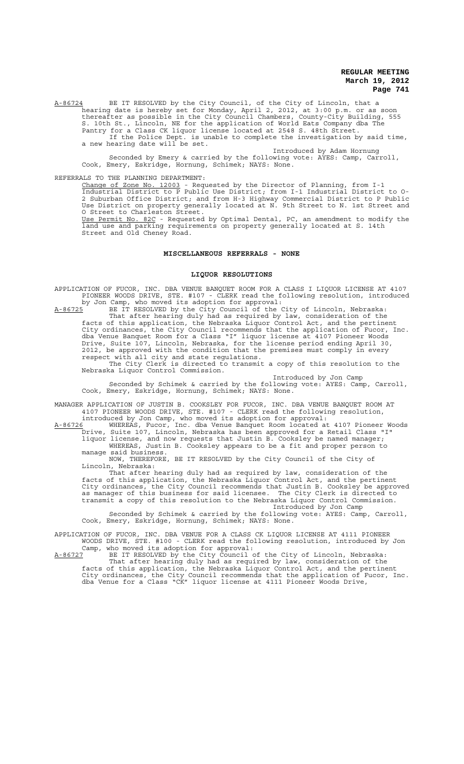A-86724 BE IT RESOLVED by the City Council, of the City of Lincoln, that a hearing date is hereby set for Monday, April 2, 2012, at 3:00 p.m. or as soon thereafter as possible in the City Council Chambers, County-City Building, 555 S. 10th St., Lincoln, NE for the application of World Eats Company dba The Pantry for a Class CK liquor license located at 2548 S. 48th Street.

If the Police Dept. is unable to complete the investigation by said time, a new hearing date will be set.

Introduced by Adam Hornung

Seconded by Emery & carried by the following vote: AYES: Camp, Carroll, Cook, Emery, Eskridge, Hornung, Schimek; NAYS: None.

## REFERRALS TO THE PLANNING DEPARTMENT:

Change of Zone No. 12003 - Requested by the Director of Planning, from I-1 Industrial District to P Public Use District; from I-1 Industrial District to O-2 Suburban Office District; and from H-3 Highway Commercial District to P Public Use District on property generally located at N. 9th Street to N. 1st Street and O Street to Charleston Street. Use Permit No. 82C - Requested by Optimal Dental, PC, an amendment to modify the land use and parking requirements on property generally located at S. 14th Street and Old Cheney Road.

#### **MISCELLANEOUS REFERRALS - NONE**

#### **LIQUOR RESOLUTIONS**

APPLICATION OF FUCOR, INC. DBA VENUE BANQUET ROOM FOR A CLASS I LIQUOR LICENSE AT 4107 PIONEER WOODS DRIVE, STE. #107 - CLERK read the following resolution, introduced by Jon Camp, who moved its adoption for approval:

A-86725 BE IT RESOLVED by the City Council of the City of Lincoln, Nebraska: That after hearing duly had as required by law, consideration of the facts of this application, the Nebraska Liquor Control Act, and the pertinent City ordinances, the City Council recommends that the application of Fucor, Inc. dba Venue Banquet Room for a Class "I" liquor license at 4107 Pioneer Woods Drive, Suite 107, Lincoln, Nebraska, for the license period ending April 30, 2012, be approved with the condition that the premises must comply in every respect with all city and state regulations.

The City Clerk is directed to transmit a copy of this resolution to the Nebraska Liquor Control Commission.

Introduced by Jon Camp Seconded by Schimek & carried by the following vote: AYES: Camp, Carroll, Cook, Emery, Eskridge, Hornung, Schimek; NAYS: None.

MANAGER APPLICATION OF JUSTIN B. COOKSLEY FOR FUCOR, INC. DBA VENUE BANQUET ROOM AT 4107 PIONEER WOODS DRIVE, STE. #107 - CLERK read the following resolution, introduced by Jon Camp, who moved its adoption for approval:

A-86726 MHEREAS, Fucor, Inc. dba Venue Banquet Room located at 4107 Pioneer Woods Drive, Suite 107, Lincoln, Nebraska has been approved for a Retail Class "I" liquor license, and now requests that Justin B. Cooksley be named manager; WHEREAS, Justin B. Cooksley appears to be a fit and proper person to

manage said business. NOW, THEREFORE, BE IT RESOLVED by the City Council of the City of Lincoln, Nebraska:

That after hearing duly had as required by law, consideration of the facts of this application, the Nebraska Liquor Control Act, and the pertinent City ordinances, the City Council recommends that Justin B. Cooksley be approved as manager of this business for said licensee. The City Clerk is directed transmit a copy of this resolution to the Nebraska Liquor Control Commission.

Introduced by Jon Camp Seconded by Schimek & carried by the following vote: AYES: Camp, Carroll, Cook, Emery, Eskridge, Hornung, Schimek; NAYS: None.

APPLICATION OF FUCOR, INC. DBA VENUE FOR A CLASS CK LIQUOR LICENSE AT 4111 PIONEER WOODS DRIVE, STE. #100 - CLERK read the following resolution, introduced by Jon Camp, who moved its adoption for approval:

A-86727 BE IT RESOLVED by the City Council of the City of Lincoln, Nebraska: That after hearing duly had as required by law, consideration of the

facts of this application, the Nebraska Liquor Control Act, and the pertinent City ordinances, the City Council recommends that the application of Fucor, Inc. dba Venue for a Class "CK" liquor license at 4111 Pioneer Woods Drive,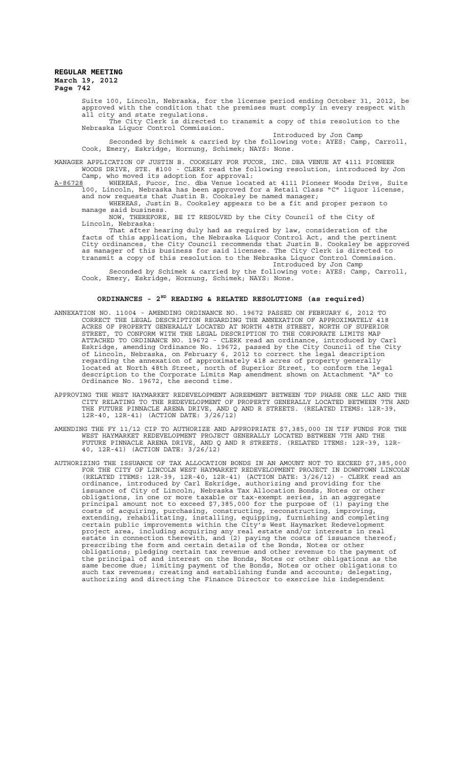Suite 100, Lincoln, Nebraska, for the license period ending October 31, 2012, be approved with the condition that the premises must comply in every respect with all city and state regulations.

The City Clerk is directed to transmit a copy of this resolution to the Nebraska Liquor Control Commission.

Introduced by Jon Camp Seconded by Schimek & carried by the following vote: AYES: Camp, Carroll, Cook, Emery, Eskridge, Hornung, Schimek; NAYS: None.

MANAGER APPLICATION OF JUSTIN B. COOKSLEY FOR FUCOR, INC. DBA VENUE AT 4111 PIONEER WOODS DRIVE, STE. #100 - CLERK read the following resolution, introduced by Jon Camp, who moved its adoption for approval:

A-86728 TWHEREAS, Fucor, Inc. dba Venue located at 4111 Pioneer Woods Drive, Suite 100, Lincoln, Nebraska has been approved for a Retail Class "C" liquor license, and now requests that Justin B. Cooksley be named manager;

WHEREAS, Justin B. Cooksley appears to be a fit and proper person to manage said business.

NOW, THEREFORE, BE IT RESOLVED by the City Council of the City of Lincoln, Nebraska: ..<br>Nebraska:

That after hearing duly had as required by law, consideration of the facts of this application, the Nebraska Liquor Control Act, and the pertinent City ordinances, the City Council recommends that Justin B. Cooksley be approved as manager of this business for said licensee. The City Clerk is directed to transmit a copy of this resolution to the Nebraska Liquor Control Commission. Introduced by Jon Camp

Seconded by Schimek & carried by the following vote: AYES: Camp, Carroll, Cook, Emery, Eskridge, Hornung, Schimek; NAYS: None.

# **ORDINANCES - 2ND READING & RELATED RESOLUTIONS (as required)**

- ANNEXATION NO. 11004 AMENDING ORDINANCE NO. 19672 PASSED ON FEBRUARY 6, 2012 TO CORRECT THE LEGAL DESCRIPTION REGARDING THE ANNEXATION OF APPROXIMATELY 418 ACRES OF PROPERTY GENERALLY LOCATED AT NORTH 48TH STREET, NORTH OF SUPERIOR STREET, TO CONFORM WITH THE LEGAL DESCRIPTION TO THE CORPORATE LIMITS MAP ATTACHED TO ORDINANCE NO. 19672 - CLERK read an ordinance, introduced by Carl Eskridge, amending Ordinance No. 19672, passed by the City Council of the City of Lincoln, Nebraska, on February 6, 2012 to correct the legal description regarding the annexation of approximately 418 acres of property generally located at North 48th Street, north of Superior Street, to conform the legal description to the Corporate Limits Map amendment shown on Attachment "A" to Ordinance No. 19672, the second time.
- APPROVING THE WEST HAYMARKET REDEVELOPMENT AGREEMENT BETWEEN TDP PHASE ONE LLC AND THE CITY RELATING TO THE REDEVELOPMENT OF PROPERTY GENERALLY LOCATED BETWEEN 7TH AND THE FUTURE PINNACLE ARENA DRIVE, AND Q AND R STREETS. (RELATED ITEMS: 12R-39, 12R-40, 12R-41) (ACTION DATE: 3/26/12)
- AMENDING THE FY 11/12 CIP TO AUTHORIZE AND APPROPRIATE \$7,385,000 IN TIF FUNDS FOR THE WEST HAYMARKET REDEVELOPMENT PROJECT GENERALLY LOCATED BETWEEN 7TH AND THE FUTURE PINNACLE ARENA DRIVE, AND Q AND R STREETS. (RELATED ITEMS: 12R-39, 12R-40, 12R-41) (ACTION DATE: 3/26/12)
- AUTHORIZING THE ISSUANCE OF TAX ALLOCATION BONDS IN AN AMOUNT NOT TO EXCEED \$7,385,000 FOR THE CITY OF LINCOLN WEST HAYMARKET REDEVELOPMENT PROJECT IN DOWNTOWN LINCOLN (RELATED ITEMS: 12R-39, 12R-40, 12R-41) (ACTION DATE: 3/26/12) - CLERK read an ordinance, introduced by Carl Eskridge, authorizing and providing for the issuance of City of Lincoln, Nebraska Tax Allocation Bonds, Notes or other obligations, in one or more taxable or tax-exempt series, in an aggregate principal amount not to exceed \$7,385,000 for the purpose of (1) paying the costs of acquiring, purchasing, constructing, reconstructing, improving, extending, rehabilitating, installing, equipping, furnishing and completing certain public improvements within the City's West Haymarket Redevelopment project area, including acquiring any real estate and/or interests in real estate in connection therewith, and (2) paying the costs of issuance thereof; prescribing the form and certain details of the Bonds, Notes or other obligations; pledging certain tax revenue and other revenue to the payment of the principal of and interest on the Bonds, Notes or other obligations as the same become due; limiting payment of the Bonds, Notes or other obligations to such tax revenues; creating and establishing funds and accounts; delegating, authorizing and directing the Finance Director to exercise his independent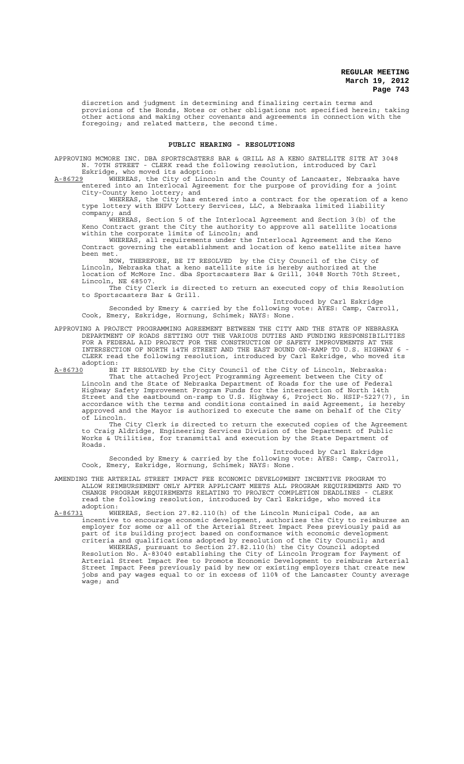discretion and judgment in determining and finalizing certain terms and provisions of the Bonds, Notes or other obligations not specified herein; taking other actions and making other covenants and agreements in connection with the foregoing; and related matters, the second time.

#### **PUBLIC HEARING - RESOLUTIONS**

APPROVING MCMORE INC. DBA SPORTSCASTERS BAR & GRILL AS A KENO SATELLITE SITE AT 3048<br>N. 70TH STREET - CLERK read the following resolution, introduced by Carl 70TH STREET - CLERK read the following resolution, introduced by Carl

Eskridge, who moved its adoption:<br>A-86729 WHEREAS, the City of Lincol A-86729 WHEREAS, the City of Lincoln and the County of Lancaster, Nebraska have entered into an Interlocal Agreement for the purpose of providing for a joint City-County keno lottery; and

WHEREAS, the City has entered into a contract for the operation of a keno type lottery with EHPV Lottery Services, LLC, a Nebraska limited liability company; and

WHEREAS, Section 5 of the Interlocal Agreement and Section 3(b) of the Keno Contract grant the City the authority to approve all satellite locations within the corporate limits of Lincoln; and

WHEREAS, all requirements under the Interlocal Agreement and the Keno Contract governing the establishment and location of keno satellite sites have been met.

NOW, THEREFORE, BE IT RESOLVED by the City Council of the City of Lincoln, Nebraska that a keno satellite site is hereby authorized at the location of McMore Inc. dba Sportscasters Bar & Grill, 3048 North 70th Street, Lincoln, NE 68507.

.<br>The City Clerk is directed to return an executed copy of this Resolution to Sportscasters Bar & Grill. Introduced by Carl Eskridge

Seconded by Emery & carried by the following vote: AYES: Camp, Carroll, Cook, Emery, Eskridge, Hornung, Schimek; NAYS: None.

APPROVING A PROJECT PROGRAMMING AGREEMENT BETWEEN THE CITY AND THE STATE OF NEBRASKA DEPARTMENT OF ROADS SETTING OUT THE VARIOUS DUTIES AND FUNDING RESPONSIBILITIES FOR A FEDERAL AID PROJECT FOR THE CONSTRUCTION OF SAFETY IMPROVEMENTS AT THE INTERSECTION OF NORTH 14TH STREET AND THE EAST BOUND ON-RAMP TO U.S. HIGHWAY 6 - CLERK read the following resolution, introduced by Carl Eskridge, who moved its adoption:<br><u>A-86730</u> BE

A-86730 BE IT RESOLVED by the City Council of the City of Lincoln, Nebraska: That the attached Project Programming Agreement between the City of Lincoln and the State of Nebraska Department of Roads for the use of Federal Highway Safety Improvement Program Funds for the intersection of North 14th Street and the eastbound on-ramp to U.S. Highway 6, Project No. HSIP-5227(7), in accordance with the terms and conditions contained in said Agreement, is hereby approved and the Mayor is authorized to execute the same on behalf of the City of Lincoln.

The City Clerk is directed to return the executed copies of the Agreement to Craig Aldridge, Engineering Services Division of the Department of Public Works & Utilities, for transmittal and execution by the State Department of Roads.

Introduced by Carl Eskridge

Seconded by Emery & carried by the following vote: AYES: Camp, Carroll, Cook, Emery, Eskridge, Hornung, Schimek; NAYS: None.

AMENDING THE ARTERIAL STREET IMPACT FEE ECONOMIC DEVELOPMENT INCENTIVE PROGRAM TO ALLOW REIMBURSEMENT ONLY AFTER APPLICANT MEETS ALL PROGRAM REQUIREMENTS AND TO CHANGE PROGRAM REQUIREMENTS RELATING TO PROJECT COMPLETION DEADLINES - CLERK read the following resolution, introduced by Carl Eskridge, who moved its<br>adoption: adoption:

A-86731 WHEREAS, Section 27.82.110(h) of the Lincoln Municipal Code, as an incentive to encourage economic development, authorizes the City to reimburse an employer for some or all of the Arterial Street Impact Fees previously paid as part of its building project based on conformance with economic development criteria and qualifications adopted by resolution of the City Council; and

WHEREAS, pursuant to Section 27.82.110(h) the City Council adopted Resolution No. A-83040 establishing the City of Lincoln Program for Payment of Arterial Street Impact Fee to Promote Economic Development to reimburse Arterial Street Impact Fees previously paid by new or existing employers that create new jobs and pay wages equal to or in excess of 110% of the Lancaster County average wage; and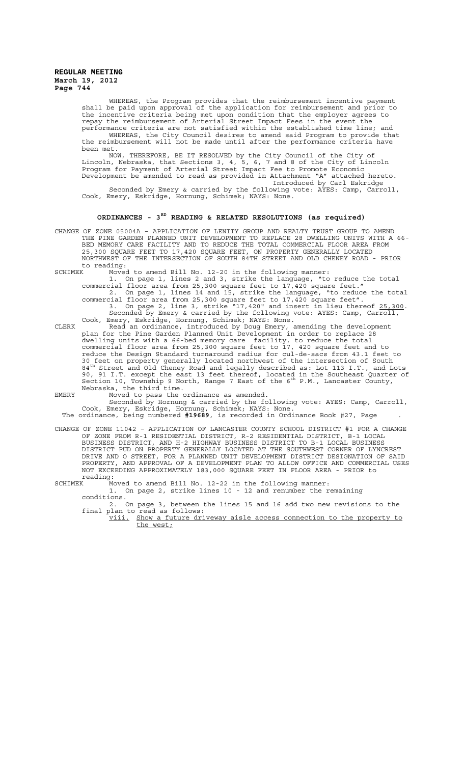> WHEREAS, the Program provides that the reimbursement incentive payment shall be paid upon approval of the application for reimbursement and prior to the incentive criteria being met upon condition that the employer agrees to repay the reimbursement of Arterial Street Impact Fees in the event the performance criteria are not satisfied within the established time line; and WHEREAS, the City Council desires to amend said Program to provide that the reimbursement will not be made until after the performance criteria have been met.

> NOW, THEREFORE, BE IT RESOLVED by the City Council of the City of Lincoln, Nebraska, that Sections 3, 4, 5, 6, 7 and 8 of the City of Lincoln Program for Payment of Arterial Street Impact Fee to Promote Economic Development be amended to read as provided in Attachment "A" attached hereto. Introduced by Carl Eskridge Seconded by Emery & carried by the following vote: AYES: Camp, Carroll, Cook, Emery, Eskridge, Hornung, Schimek; NAYS: None.

## **ORDINANCES - 3RD READING & RELATED RESOLUTIONS (as required)**

- CHANGE OF ZONE 05004A APPLICATION OF LENITY GROUP AND REALTY TRUST GROUP TO AMEND THE PINE GARDEN PLANNED UNIT DEVELOPMENT TO REPLACE 28 DWELLING UNITS WITH A 66- BED MEMORY CARE FACILITY AND TO REDUCE THE TOTAL COMMERCIAL FLOOR AREA FROM 25,300 SQUARE FEET TO 17,420 SQUARE FEET, ON PROPERTY GENERALLY LOCATED NORTHWEST OF THE INTERSECTION OF SOUTH 84TH STREET AND OLD CHENEY ROAD - PRIOR to reading:<br>SCHIMEK Moved
	- Moved to amend Bill No. 12-20 in the following manner:
		- 1. On page 1, lines 2 and 3, strike the language, "to reduce the total commercial floor area from 25,300 square feet to 17,420 square feet." 2. On page 1, lines 14 and 15, strike the language, "to reduce the total commercial floor area from 25,300 square feet to 17,420 square feet". 3. On page 2, line 3, strike "17,420" and insert in lieu thereof 25,300. Seconded by Emery & carried by the following vote: AYES: Camp, Carroll,
- Cook, Emery, Eskridge, Hornung, Schimek; NAYS: None. CLERK Read an ordinance, introduced by Doug Emery, amending the development plan for the Pine Garden Planned Unit Development in order to replace 28 dwelling units with a 66-bed memory care facility, to reduce the total commercial floor area from 25,300 square feet to 17, 420 square feet and to reduce the Design Standard turnaround radius for cul-de-sacs from 43.1 feet to 30 feet on property generally located northwest of the intersection of South 84th Street and Old Cheney Road and legally described as: Lot 113 I.T., and Lots 90, 91 I.T. except the east 13 feet thereof, located in the Southeast Quarter of<br>Section 10, Township 9 North, Range 7 East of the 6<sup>th</sup> P.M., Lancaster County, Nebraska, the third time.
- EMERY Moved to pass the ordinance as amended.
	- Seconded by Hornung & carried by the following vote: AYES: Camp, Carroll, Cook, Emery, Eskridge, Hornung, Schimek; NAYS: None.

The ordinance, being numbered **#19689**, is recorded in Ordinance Book #27, Page .

CHANGE OF ZONE 11042 – APPLICATION OF LANCASTER COUNTY SCHOOL DISTRICT #1 FOR A CHANGE OF ZONE FROM R-1 RESIDENTIAL DISTRICT, R-2 RESIDENTIAL DISTRICT, B-1 LOCAL BUSINESS DISTRICT, AND H-2 HIGHWAY BUSINESS DISTRICT TO B-1 LOCAL BUSINESS DISTRICT PUD ON PROPERTY GENERALLY LOCATED AT THE SOUTHWEST CORNER OF LYNCREST DRIVE AND O STREET, FOR A PLANNED UNIT DEVELOPMENT DISTRICT DESIGNATION OF SAID PROPERTY, AND APPROVAL OF A DEVELOPMENT PLAN TO ALLOW OFFICE AND COMMERCIAL USES NOT EXCEEDING APPROXIMATELY 183,000 SQUARE FEET IN FLOOR AREA - PRIOR to

reading:<br>SCHIMEK M SCHIMEK Moved to amend Bill No. 12-22 in the following manner: 1. On page 2, strike lines 10 - 12 and renumber the remaining

- conditions.<br>2. 2. On page 3, between the lines 15 and 16 add two new revisions to the final plan to read as follows:
	- viii. Show a future driveway aisle access connection to the property to the west;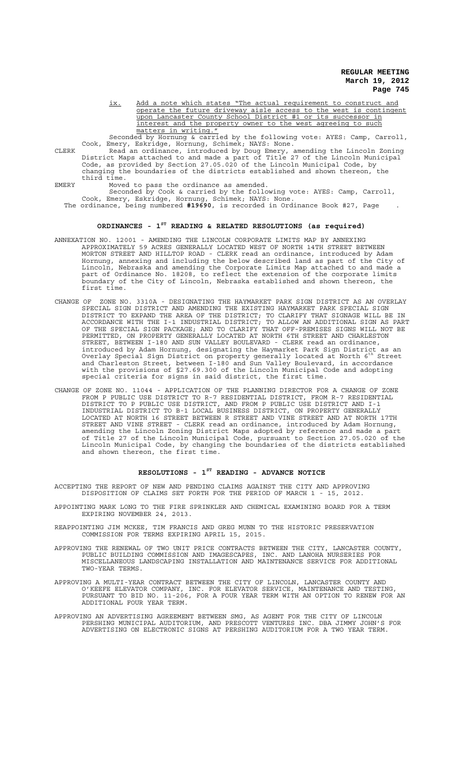ix. Add a note which states "The actual requirement to construct and operate the future driveway aisle access to the west is contingent upon Lancaster County School District #1 or its successor in interest and the property owner to the west agreeing to such matters in writing.

Seconded by Hornung & carried by the following vote: AYES: Camp, Carroll, Cook, Emery, Eskridge, Hornung, Schimek; NAYS: None.

CLERK Read an ordinance, introduced by Doug Emery, amending the Lincoln Zoning District Maps attached to and made a part of Title 27 of the Lincoln Municipal Code, as provided by Section 27.05.020 of the Lincoln Municipal Code, by changing the boundaries of the districts established and shown thereon, the third time.

EMERY Moved to pass the ordinance as amended.

Seconded by Cook & carried by the following vote: AYES: Camp, Carroll, Cook, Emery, Eskridge, Hornung, Schimek; NAYS: None. The ordinance, being numbered **#19690**, is recorded in Ordinance Book #27, Page .

# **ORDINANCES - 1ST READING & RELATED RESOLUTIONS (as required)**

- ANNEXATION NO. 12001 AMENDING THE LINCOLN CORPORATE LIMITS MAP BY ANNEXING APPROXIMATELY 59 ACRES GENERALLY LOCATED WEST OF NORTH 14TH STREET BETWEEN MORTON STREET AND HILLTOP ROAD - CLERK read an ordinance, introduced by Adam Hornung, annexing and including the below described land as part of the City of Lincoln, Nebraska and amending the Corporate Limits Map attached to and made a part of Ordinance No. 18208, to reflect the extension of the corporate limits boundary of the City of Lincoln, Nebraska established and shown thereon, the first time.
- CHANGE OF ZONE NO. 3310A DESIGNATING THE HAYMARKET PARK SIGN DISTRICT AS AN OVERLAY SPECIAL SIGN DISTRICT AND AMENDING THE EXISTING HAYMARKET PARK SPECIAL SIGN DISTRICT TO EXPAND THE AREA OF THE DISTRICT; TO CLARIFY THAT SIGNAGE WILL BE IN ACCORDANCE WITH THE I-1 INDUSTRIAL DISTRICT; TO ALLOW AN ADDITIONAL SIGN AS PART OF THE SPECIAL SIGN PACKAGE; AND TO CLARIFY THAT OFF-PREMISES SIGNS WILL NOT BE PERMITTED, ON PROPERTY GENERALLY LOCATED AT NORTH 6TH STREET AND CHARLESTON STREET, BETWEEN I-180 AND SUN VALLEY BOULEVARD - CLERK read an ordinance, introduced by Adam Hornung, designating the Haymarket Park Sign District as an Overlay Special Sign District on property generally located at North 6th Street and Charleston Street, between I-180 and Sun Valley Boulevard, in accordance with the provisions of §27.69.300 of the Lincoln Municipal Code and adopting special criteria for signs in said district, the first time.
- CHANGE OF ZONE NO. 11044 APPLICATION OF THE PLANNING DIRECTOR FOR A CHANGE OF ZONE FROM P PUBLIC USE DISTRICT TO R-7 RESIDENTIAL DISTRICT, FROM R-7 RESIDENTIAL DISTRICT TO P PUBLIC USE DISTRICT, AND FROM P PUBLIC USE DISTRICT AND I-1 INDUSTRIAL DISTRICT TO B-1 LOCAL BUSINESS DISTRICT, ON PROPERTY GENERALLY LOCATED AT NORTH 16 STREET BETWEEN R STREET AND VINE STREET AND AT NORTH 17TH STREET AND VINE STREET - CLERK read an ordinance, introduced by Adam Hornung, amending the Lincoln Zoning District Maps adopted by reference and made a part of Title 27 of the Lincoln Municipal Code, pursuant to Section 27.05.020 of the Lincoln Municipal Code, by changing the boundaries of the districts established and shown thereon, the first time.

## **RESOLUTIONS - 1ST READING - ADVANCE NOTICE**

ACCEPTING THE REPORT OF NEW AND PENDING CLAIMS AGAINST THE CITY AND APPROVING DISPOSITION OF CLAIMS SET FORTH FOR THE PERIOD OF MARCH 1 - 15, 2012.

- APPOINTING MARK LONG TO THE FIRE SPRINKLER AND CHEMICAL EXAMINING BOARD FOR A TERM EXPIRING NOVEMBER 24, 2013.
- REAPPOINTING JIM MCKEE, TIM FRANCIS AND GREG MUNN TO THE HISTORIC PRESERVATION COMMISSION FOR TERMS EXPIRING APRIL 15, 2015.
- APPROVING THE RENEWAL OF TWO UNIT PRICE CONTRACTS BETWEEN THE CITY, LANCASTER COUNTY, PUBLIC BUILDING COMMISSION AND IMAGESCAPES, INC. AND LANOHA NURSERIES FOR MISCELLANEOUS LANDSCAPING INSTALLATION AND MAINTENANCE SERVICE FOR ADDITIONAL TWO-YEAR TERMS.
- APPROVING A MULTI-YEAR CONTRACT BETWEEN THE CITY OF LINCOLN, LANCASTER COUNTY AND O'KEEFE ELEVATOR COMPANY, INC. FOR ELEVATOR SERVICE, MAINTENANCE AND TESTING, PURSUANT TO BID NO. 11-206, FOR A FOUR YEAR TERM WITH AN OPTION TO RENEW FOR AN ADDITIONAL FOUR YEAR TERM.
- APPROVING AN ADVERTISING AGREEMENT BETWEEN SMG, AS AGENT FOR THE CITY OF LINCOLN PERSHING MUNICIPAL AUDITORIUM, AND PRESCOTT VENTURES INC. DBA JIMMY JOHN'S FOR ADVERTISING ON ELECTRONIC SIGNS AT PERSHING AUDITORIUM FOR A TWO YEAR TERM.